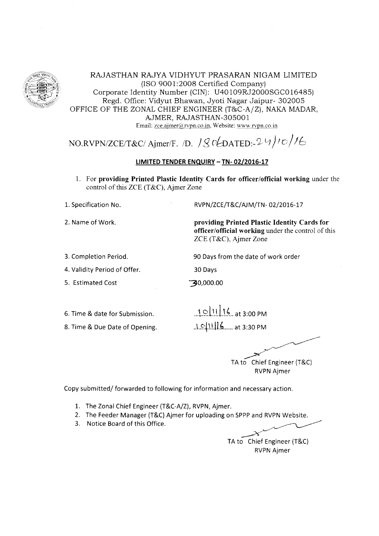

RAJASTHAN RAJYA VIDHYUT PRASARAN NIGAM LIMITED (ISO 9001:2008 Certified Company) Corporate Identity Number (CIN): U40 109RJ2000SGCO16485) Regd. Office: Vidyut Bhawan, Jyoti Nagar Jaipur- 302005 OFFICE OF THE ZONAL CHIEF ENGINEER (T&C-A/Z), NAKA MADAR, AJMER, RAJASTHAN-3OsOO 1 Email: zce.ajmer@rvpn.co.in, Website: www.rvpn.co.in

# NO.RVPN/ZCE/T&C/Ajmer/F. /D.  $\frac{1}{S}$   $\frac{1}{S}$   $\frac{1}{S}$   $\frac{1}{S}$   $\frac{1}{S}$

## LIMITED TENDER ENQUIRY - TN- 02/2016-17

l. For providing Printed Plastic Identity Cards for officer/official working under the control of this ZCE (T&C), Ajmer Zone

30 Days

30,000.00

L. Specification No.

2. Name of Work.

RVPN/ZCE/T&C/AJM/TN-02/2016-17

90 Days from the date of work order

providing Printed Plastic Identity Cards for officer/official working under the control of this ZCE (T&C), Ajmer Zone

3. Comoletion Period.

4. Validity Period of Offer.

5. Estimated Cost

6. Time & date for Submission.

8. Time & Due Date of Opening.

 $1011116$  at 3:00 PM  $1.9$ [11.11.6..... at 3:30 PM

TA to Chief Engineer (T&C) RVPN Ajmer

Copy submitted/ forwarded to following for information and necessary action,

- 1. The Zonal Chief Engineer (T&C-A/Z), RVPN, Ajmer.
- 2. The Feeder Manager (T&C) Ajmer for uploading on SPPP and RVPN Website.
- 3. Notice Board of this Office.

TA to Chief Engineer (T&C) RVPN Ajmer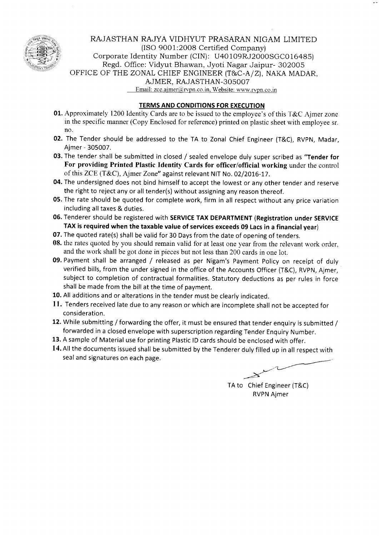

# RAJASTHAN RAJYA VIDHYUT PRASARAN NIGAM LIMITED (ISO 9001:20O8 Certified Company) Corporate Identity Number (CIN): U40 109RJ2000SGCO16485) Regd. Office: Vidyut Bhawan, Jyoti Nagar Jaipur- 302005 OFFICE OF THE ZONAL CHIEF ENGINEER (T&C-A/Z), NAKA MADAR, AJMER, RAJASTHAN-3OSOO7 Email: zce.ajmer@rvpn.co.in, Website: www.rvpn.co.in

## TERMS AND CONDITIONS FOR EXECUTION

- 01. Approximately 1200 Identity Cards are to be issued to the employee's of this T&C Ajmer zone in the specific manner (Copy Enclosed for reference) printed on plastic sheet with employee sr. no.
- 02. The Tender should be addressed to the TA to Zonal Chief Engineer (T&C), RVPN, Madar, Ajmer - 305007.
- 03. The tender shall be submitted in closed / sealed envelope duly super scribed as "Tender for For providing Printed Plastic Identity Cards for officer/official working under the control of this ZCE (T&C), Ajmer Zone" against relevant NtT No. 02/2016-77.
- 04. The undersigned does not bind himself to accept the lowest or any other tender and reserve the right to reject any or all tender(s) without assigning any reason thereof.
- 05. The rate should be quoted for complete work, firm in all respect without any price variation including all taxes & duties.
- 06. Tenderer should be registered with SERVICE TAX DEPARTMENT (Registration under SERVICE TAX is required when the taxable value of services exceeds 09 Lacs in a financial year)
- 07. The quoted rate(s) shall be valid for 30 Days from the date of opening of tenders.
- 08. the rates quoted by you should remain valid for at least one year from the relevant work order, and the work shall be got done in pieces but not less than 200 cards in one lot.
- 09. Payment shall be arranged / released as per Nigam's Payment Policy on receipt of duly verified bills, from the under signed in the office of the Accounts Officer (T&C), RVPN, Ajmer, subject to completion of contractual formalities. Statutory deductions as per rules in force shall be made from the bill at the time of payment.
- 10. All additions and or alterations in the tender must be clearly indicated.
- 11. Tenders received late due to any reason or which are incomplete shall not be accepted for consideration.
- 12. While submitting / forwarding the offer, it must be ensured that tender enquiry is submitted / forwarded in a closed envelope with superscription regarding Tender Enquiry Number.
- 13. A sample of Material use for printing Plastic lD cards should be enclosed with offer.
- 14. All the documents issued shall be submitted by the Tenderer duly filled up in all respect with seal and signatures on each page.

TA to Chief Engineer (T&C) RVPN Ajmer